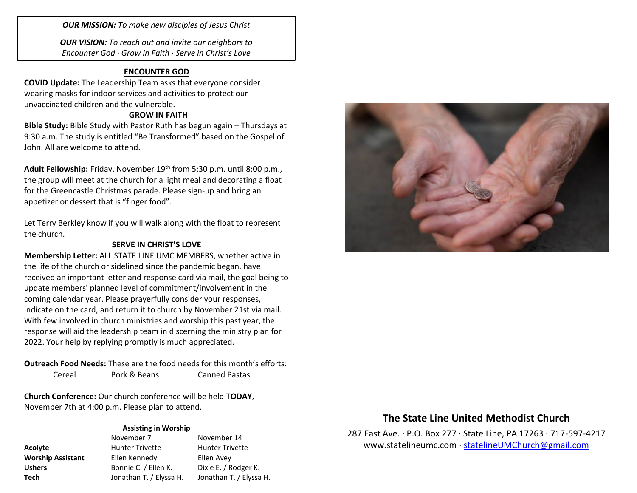*OUR MISSION: To make new disciples of Jesus Christ*

*OUR VISION: To reach out and invite our neighbors to Encounter God · Grow in Faith · Serve in Christ's Love*

## **ENCOUNTER GOD**

**COVID Update:** The Leadership Team asks that everyone consider wearing masks for indoor services and activities to protect our unvaccinated children and the vulnerable.

## **GROW IN FAITH**

**Bible Study:** Bible Study with Pastor Ruth has begun again – Thursdays at 9:30 a.m. The study is entitled "Be Transformed" based on the Gospel of John. All are welcome to attend.

Adult Fellowship: Friday, November 19<sup>th</sup> from 5:30 p.m. until 8:00 p.m., the group will meet at the church for a light meal and decorating a float for the Greencastle Christmas parade. Please sign-up and bring an appetizer or dessert that is "finger food".

Let Terry Berkley know if you will walk along with the float to represent the church.

### **SERVE IN CHRIST'S LOVE**

**Membership Letter:** ALL STATE LINE UMC MEMBERS, whether active in the life of the church or sidelined since the pandemic began, have received an important letter and response card via mail, the goal being to update members' planned level of commitment/involvement in the coming calendar year. Please prayerfully consider your responses, indicate on the card, and return it to church by November 21st via mail. With few involved in church ministries and worship this past year, the response will aid the leadership team in discerning the ministry plan for 2022. Your help by replying promptly is much appreciated.

**Outreach Food Needs:** These are the food needs for this month's efforts: Cereal Pork & Beans Canned Pastas

**Church Conference:** Our church conference will be held **TODAY**, November 7th at 4:00 p.m. Please plan to attend.

#### **Assisting in Worship**

|                          | November 7              | November 14             |
|--------------------------|-------------------------|-------------------------|
| Acolyte                  | <b>Hunter Trivette</b>  | <b>Hunter Trivette</b>  |
| <b>Worship Assistant</b> | Ellen Kennedy           | Ellen Avey              |
| <b>Ushers</b>            | Bonnie C. / Ellen K.    | Dixie E. / Rodger K.    |
| Tech                     | Jonathan T. / Elyssa H. | Jonathan T. / Elyssa H. |



# **The State Line United Methodist Church**

287 East Ave. · P.O. Box 277 · State Line, PA 17263 · 717-597-4217 [www.statelineumc.com](http://www.statelineumc.com/) · [statelineUMChurch@gmail.com](mailto:statelineUMChurch@gmail.com)